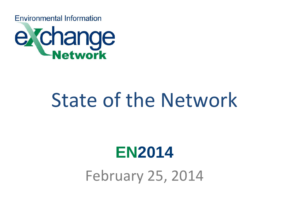**Environmental Information** 



# State of the Network

# **EN2014** February 25, 2014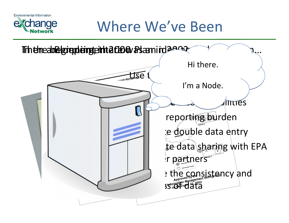

## $\boldsymbol{\Theta}$

# Where We've Been

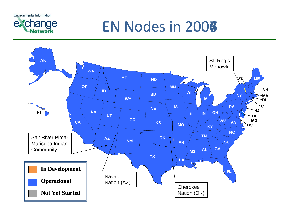**Environmental Information** 



# EN Nodes in 2008

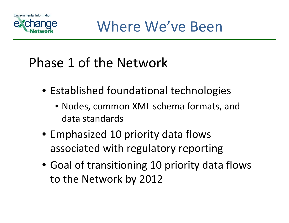



### Phase 1 of the Network

- Established foundational technologies
	- Nodes, common XML schema formats, and data standards
- Emphasized 10 priority data flows associated with regulatory reporting
- Goal of transitioning 10 priority data flows to the Network by 2012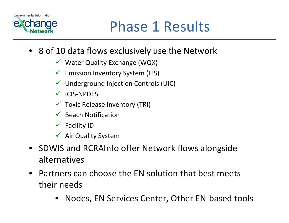



- 8 of 10 data flows exclusively use the Network
	- $\checkmark$  Water Quality Exchange (WQX)
	- $\checkmark$ Emission Inventory System (EIS)
	- $\sqrt{ }$ Underground Injection Controls (UIC)
	- ICIS‐NPDES
	- $\checkmark$  Toxic Release Inventory (TRI)
	- $\checkmark$  Beach Notification
	- $\checkmark$ Facility ID
	- $\checkmark$  Air Quality System
- SDWIS and RCRAInfo offer Network flows alongside alternatives
- Partners can choose the EN solution that best meets their needs
	- Nodes, EN Services Center, Other EN‐based tools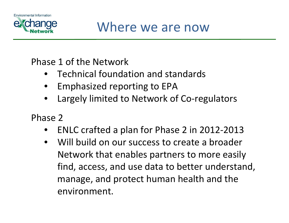



#### Phase 1 of the Network

- Technical foundation and standards
- Emphasized reporting to EPA
- Largely limited to Network of Co-regulators

Phase 2

- ENLC crafted <sup>a</sup> plan for Phase 2 in 2012‐2013
- Will build on our success to create <sup>a</sup> broader Network that enables partners to more easily find, access, and use data to better understand, manage, and protect human health and the environment.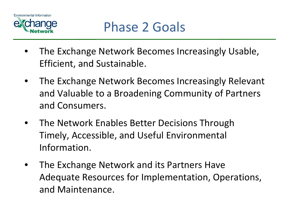

- The Exchange Network Becomes Increasingly Usable, Efficient, and Sustainable.
- The Exchange Network Becomes Increasingly Relevant and Valuable to <sup>a</sup> Broadening Community of Partners and Consumers.
- The Network Enables Better Decisions Through Timely, Accessible, and Useful Environmental Information.
- The Exchange Network and its Partners Have Adequate Resources for Implementation, Operations, and Maintenance.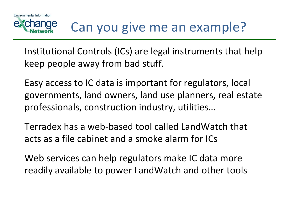## Can you give me an example?

Institutional Controls (ICs) are legal instruments that help keep people away from bad stuff.

Easy access to IC data is important for regulators, local governments, land owners, land use planners, real estate professionals, construction industry, utilities…

Terradex has <sup>a</sup> web‐based tool called LandWatch that acts as a file cabinet and <sup>a</sup> smoke alarm for ICs

Web services can help regulators make IC data more readily available to power LandWatch and other tools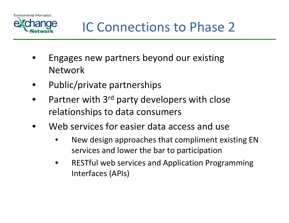



### IC Connections to Phase 2

- Engages new partners beyond our existing Network
- Public/private partnerships
- Partner with 3<sup>rd</sup> party developers with close relationships to data consumers
- Web services for easier data access and use
	- New design approaches that compliment existing EN services and lower the bar to participation
	- RESTful web services and Application Programming Interfaces (APIs)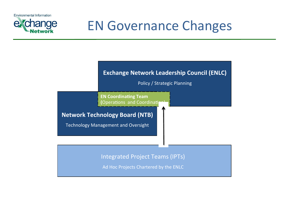**Environmental Information** 



### EN Governance Changes

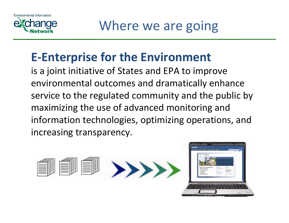



### **E‐Enterprise for the Environment**

is a joint initiative of States and EPA to improve environmental outcomes and dramatically enhance service to the regulated community and the public by maximizing the use of advanced monitoring and information technologies, optimizing operations, and increasing transparency.